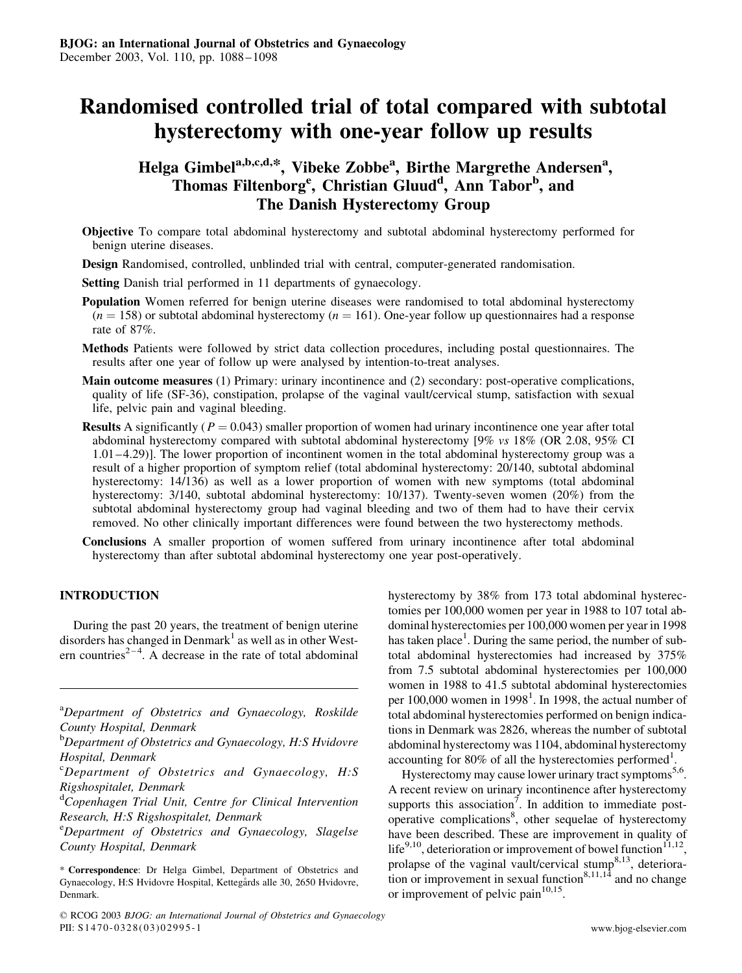# Randomised controlled trial of total compared with subtotal hysterectomy with one-year follow up results

# Helga Gimbel<sup>a,b,c,d,\*</sup>, Vibeke Zobbe<sup>a</sup>, Birthe Margrethe Andersen<sup>a</sup>, Thomas Filtenborg<sup>e</sup>, Christian Gluud<sup>d</sup>, Ann Tabor<sup>b</sup>, and The Danish Hysterectomy Group

- Objective To compare total abdominal hysterectomy and subtotal abdominal hysterectomy performed for benign uterine diseases.
- Design Randomised, controlled, unblinded trial with central, computer-generated randomisation.

Setting Danish trial performed in 11 departments of gynaecology.

- Population Women referred for benign uterine diseases were randomised to total abdominal hysterectomy  $(n = 158)$  or subtotal abdominal hysterectomy  $(n = 161)$ . One-year follow up questionnaires had a response rate of 87%.
- Methods Patients were followed by strict data collection procedures, including postal questionnaires. The results after one year of follow up were analysed by intention-to-treat analyses.
- Main outcome measures (1) Primary: urinary incontinence and (2) secondary: post-operative complications, quality of life (SF-36), constipation, prolapse of the vaginal vault/cervical stump, satisfaction with sexual life, pelvic pain and vaginal bleeding.
- **Results** A significantly ( $P = 0.043$ ) smaller proportion of women had urinary incontinence one year after total abdominal hysterectomy compared with subtotal abdominal hysterectomy [9% vs 18% (OR 2.08, 95% CI 1.01–4.29)]. The lower proportion of incontinent women in the total abdominal hysterectomy group was a result of a higher proportion of symptom relief (total abdominal hysterectomy: 20/140, subtotal abdominal hysterectomy: 14/136) as well as a lower proportion of women with new symptoms (total abdominal hysterectomy: 3/140, subtotal abdominal hysterectomy: 10/137). Twenty-seven women (20%) from the subtotal abdominal hysterectomy group had vaginal bleeding and two of them had to have their cervix removed. No other clinically important differences were found between the two hysterectomy methods.
- Conclusions A smaller proportion of women suffered from urinary incontinence after total abdominal hysterectomy than after subtotal abdominal hysterectomy one year post-operatively.

# INTRODUCTION

During the past 20 years, the treatment of benign uterine disorders has changed in Denmark<sup>1</sup> as well as in other Western countries<sup>2-4</sup>. A decrease in the rate of total abdominal

<sup>a</sup>Department of Obstetrics and Gynaecology, Roskilde County Hospital, Denmark

<sup>d</sup>Copenhagen Trial Unit, Centre for Clinical Intervention Research, H:S Rigshospitalet, Denmark

<sup>e</sup>Department of Obstetrics and Gynaecology, Slagelse County Hospital, Denmark

hysterectomy by 38% from 173 total abdominal hysterectomies per 100,000 women per year in 1988 to 107 total abdominal hysterectomies per 100,000 women per year in 1998 has taken place<sup>1</sup>. During the same period, the number of subtotal abdominal hysterectomies had increased by 375% from 7.5 subtotal abdominal hysterectomies per 100,000 women in 1988 to 41.5 subtotal abdominal hysterectomies per 100,000 women in 1998<sup>1</sup>. In 1998, the actual number of total abdominal hysterectomies performed on benign indications in Denmark was 2826, whereas the number of subtotal abdominal hysterectomy was 1104, abdominal hysterectomy accounting for 80% of all the hysterectomies performed<sup>1</sup>.

Hysterectomy may cause lower urinary tract symptoms<sup>5,6</sup>. A recent review on urinary incontinence after hysterectomy supports this association<sup>7</sup>. In addition to immediate postoperative complications<sup>8</sup>, other sequelae of hysterectomy have been described. These are improvement in quality of life<sup>9,10</sup>, deterioration or improvement of bowel function<sup>11,12</sup>, prolapse of the vaginal vault/cervical stump<sup>8,13</sup>, deterioration or improvement in sexual function<sup>8,11,14</sup> and no change or improvement of pelvic pain $10,15$ .

<sup>&</sup>lt;sup>b</sup>Department of Obstetrics and Gynaecology, H:S Hvidovre Hospital, Denmark

<sup>&</sup>lt;sup>c</sup>Department of Obstetrics and Gynaecology, H:S Rigshospitalet, Denmark

<sup>\*</sup> Correspondence: Dr Helga Gimbel, Department of Obstetrics and Gynaecology, H:S Hvidovre Hospital, Kettegårds alle 30, 2650 Hvidovre, Denmark.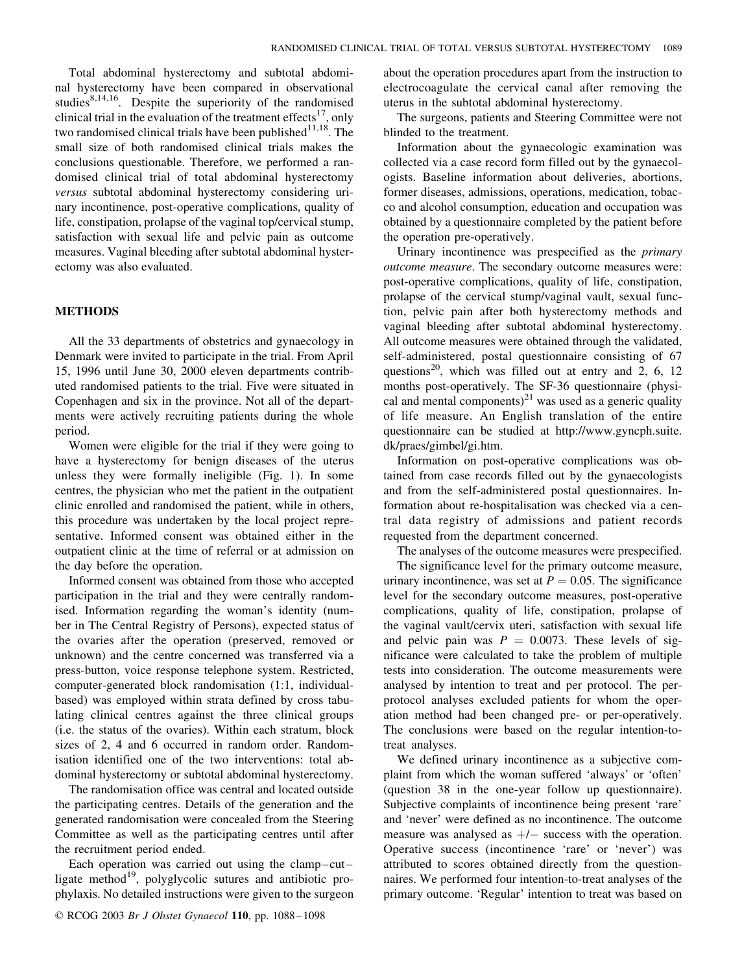Total abdominal hysterectomy and subtotal abdominal hysterectomy have been compared in observational studies $8,14,16$ . Despite the superiority of the randomised clinical trial in the evaluation of the treatment effects<sup>17</sup>, only two randomised clinical trials have been published $11,18$ . The small size of both randomised clinical trials makes the conclusions questionable. Therefore, we performed a randomised clinical trial of total abdominal hysterectomy versus subtotal abdominal hysterectomy considering urinary incontinence, post-operative complications, quality of life, constipation, prolapse of the vaginal top/cervical stump, satisfaction with sexual life and pelvic pain as outcome measures. Vaginal bleeding after subtotal abdominal hysterectomy was also evaluated.

#### METHODS

All the 33 departments of obstetrics and gynaecology in Denmark were invited to participate in the trial. From April 15, 1996 until June 30, 2000 eleven departments contributed randomised patients to the trial. Five were situated in Copenhagen and six in the province. Not all of the departments were actively recruiting patients during the whole period.

Women were eligible for the trial if they were going to have a hysterectomy for benign diseases of the uterus unless they were formally ineligible (Fig. 1). In some centres, the physician who met the patient in the outpatient clinic enrolled and randomised the patient, while in others, this procedure was undertaken by the local project representative. Informed consent was obtained either in the outpatient clinic at the time of referral or at admission on the day before the operation.

Informed consent was obtained from those who accepted participation in the trial and they were centrally randomised. Information regarding the woman's identity (number in The Central Registry of Persons), expected status of the ovaries after the operation (preserved, removed or unknown) and the centre concerned was transferred via a press-button, voice response telephone system. Restricted, computer-generated block randomisation (1:1, individualbased) was employed within strata defined by cross tabulating clinical centres against the three clinical groups (i.e. the status of the ovaries). Within each stratum, block sizes of 2, 4 and 6 occurred in random order. Randomisation identified one of the two interventions: total abdominal hysterectomy or subtotal abdominal hysterectomy.

The randomisation office was central and located outside the participating centres. Details of the generation and the generated randomisation were concealed from the Steering Committee as well as the participating centres until after the recruitment period ended.

Each operation was carried out using the clamp–cut– ligate method<sup>19</sup>, polyglycolic sutures and antibiotic prophylaxis. No detailed instructions were given to the surgeon about the operation procedures apart from the instruction to electrocoagulate the cervical canal after removing the uterus in the subtotal abdominal hysterectomy.

The surgeons, patients and Steering Committee were not blinded to the treatment.

Information about the gynaecologic examination was collected via a case record form filled out by the gynaecologists. Baseline information about deliveries, abortions, former diseases, admissions, operations, medication, tobacco and alcohol consumption, education and occupation was obtained by a questionnaire completed by the patient before the operation pre-operatively.

Urinary incontinence was prespecified as the primary outcome measure. The secondary outcome measures were: post-operative complications, quality of life, constipation, prolapse of the cervical stump/vaginal vault, sexual function, pelvic pain after both hysterectomy methods and vaginal bleeding after subtotal abdominal hysterectomy. All outcome measures were obtained through the validated, self-administered, postal questionnaire consisting of 67 questions<sup>20</sup>, which was filled out at entry and 2, 6, 12 months post-operatively. The SF-36 questionnaire (physical and mental components $)^{21}$  was used as a generic quality of life measure. An English translation of the entire questionnaire can be studied at http://www.gyncph.suite. dk/praes/gimbel/gi.htm.

Information on post-operative complications was obtained from case records filled out by the gynaecologists and from the self-administered postal questionnaires. Information about re-hospitalisation was checked via a central data registry of admissions and patient records requested from the department concerned.

The analyses of the outcome measures were prespecified.

The significance level for the primary outcome measure, urinary incontinence, was set at  $P = 0.05$ . The significance level for the secondary outcome measures, post-operative complications, quality of life, constipation, prolapse of the vaginal vault/cervix uteri, satisfaction with sexual life and pelvic pain was  $P = 0.0073$ . These levels of significance were calculated to take the problem of multiple tests into consideration. The outcome measurements were analysed by intention to treat and per protocol. The perprotocol analyses excluded patients for whom the operation method had been changed pre- or per-operatively. The conclusions were based on the regular intention-totreat analyses.

We defined urinary incontinence as a subjective complaint from which the woman suffered 'always' or 'often' (question 38 in the one-year follow up questionnaire). Subjective complaints of incontinence being present 'rare' and 'never' were defined as no incontinence. The outcome measure was analysed as  $+/-$  success with the operation. Operative success (incontinence 'rare' or 'never') was attributed to scores obtained directly from the questionnaires. We performed four intention-to-treat analyses of the primary outcome. 'Regular' intention to treat was based on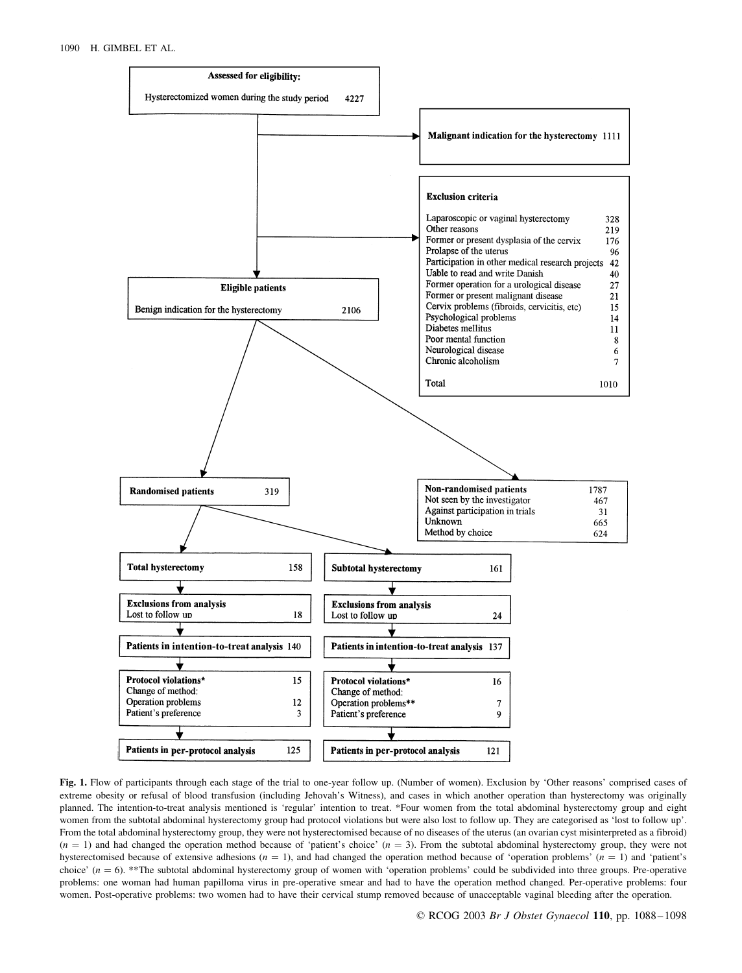

Fig. 1. Flow of participants through each stage of the trial to one-year follow up. (Number of women). Exclusion by 'Other reasons' comprised cases of extreme obesity or refusal of blood transfusion (including Jehovah's Witness), and cases in which another operation than hysterectomy was originally planned. The intention-to-treat analysis mentioned is 'regular' intention to treat. \*Four women from the total abdominal hysterectomy group and eight women from the subtotal abdominal hysterectomy group had protocol violations but were also lost to follow up. They are categorised as 'lost to follow up'. From the total abdominal hysterectomy group, they were not hysterectomised because of no diseases of the uterus (an ovarian cyst misinterpreted as a fibroid)  $(n = 1)$  and had changed the operation method because of 'patient's choice'  $(n = 3)$ . From the subtotal abdominal hysterectomy group, they were not hysterectomised because of extensive adhesions  $(n = 1)$ , and had changed the operation method because of 'operation problems'  $(n = 1)$  and 'patient's choice'  $(n = 6)$ . \*\*The subtotal abdominal hysterectomy group of women with 'operation problems' could be subdivided into three groups. Pre-operative problems: one woman had human papilloma virus in pre-operative smear and had to have the operation method changed. Per-operative problems: four women. Post-operative problems: two women had to have their cervical stump removed because of unacceptable vaginal bleeding after the operation.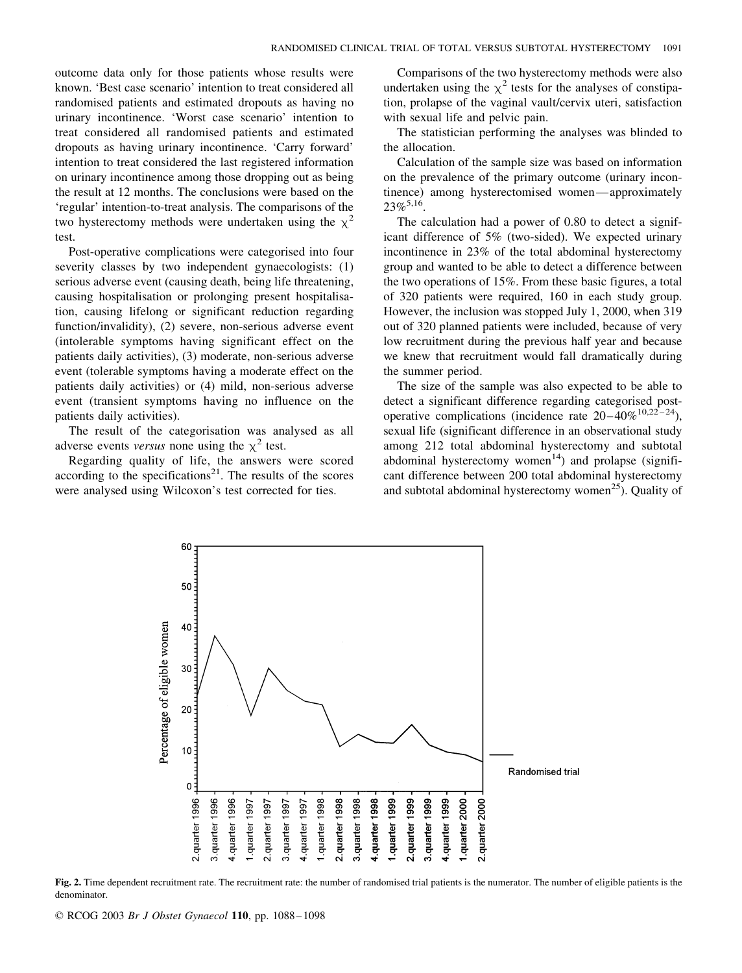outcome data only for those patients whose results were known. 'Best case scenario' intention to treat considered all randomised patients and estimated dropouts as having no urinary incontinence. 'Worst case scenario' intention to treat considered all randomised patients and estimated dropouts as having urinary incontinence. 'Carry forward' intention to treat considered the last registered information on urinary incontinence among those dropping out as being the result at 12 months. The conclusions were based on the 'regular' intention-to-treat analysis. The comparisons of the two hysterectomy methods were undertaken using the  $\chi^2$ test.

Post-operative complications were categorised into four severity classes by two independent gynaecologists: (1) serious adverse event (causing death, being life threatening, causing hospitalisation or prolonging present hospitalisation, causing lifelong or significant reduction regarding function/invalidity), (2) severe, non-serious adverse event (intolerable symptoms having significant effect on the patients daily activities), (3) moderate, non-serious adverse event (tolerable symptoms having a moderate effect on the patients daily activities) or (4) mild, non-serious adverse event (transient symptoms having no influence on the patients daily activities).

The result of the categorisation was analysed as all adverse events versus none using the  $\chi^2$  test.

Regarding quality of life, the answers were scored according to the specifications $^{21}$ . The results of the scores were analysed using Wilcoxon's test corrected for ties.

Comparisons of the two hysterectomy methods were also undertaken using the  $\chi^2$  tests for the analyses of constipation, prolapse of the vaginal vault/cervix uteri, satisfaction with sexual life and pelvic pain.

The statistician performing the analyses was blinded to the allocation.

Calculation of the sample size was based on information on the prevalence of the primary outcome (urinary incontinence) among hysterectomised women—approximately  $23\%^{5,16}$ .

The calculation had a power of 0.80 to detect a significant difference of 5% (two-sided). We expected urinary incontinence in 23% of the total abdominal hysterectomy group and wanted to be able to detect a difference between the two operations of 15%. From these basic figures, a total of 320 patients were required, 160 in each study group. However, the inclusion was stopped July 1, 2000, when 319 out of 320 planned patients were included, because of very low recruitment during the previous half year and because we knew that recruitment would fall dramatically during the summer period.

The size of the sample was also expected to be able to detect a significant difference regarding categorised postoperative complications (incidence rate  $20-40\%^{10,22-24}$ ), sexual life (significant difference in an observational study among 212 total abdominal hysterectomy and subtotal abdominal hysterectomy women<sup>14</sup>) and prolapse (significant difference between 200 total abdominal hysterectomy and subtotal abdominal hysterectomy women<sup>25</sup>). Quality of



Fig. 2. Time dependent recruitment rate. The recruitment rate: the number of randomised trial patients is the numerator. The number of eligible patients is the denominator.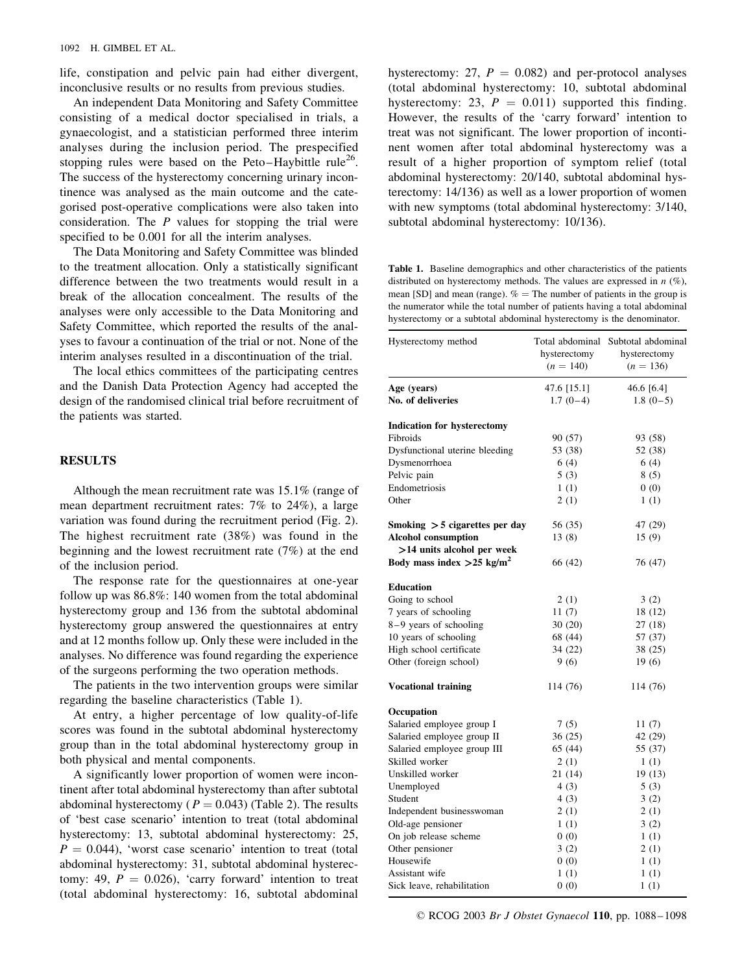life, constipation and pelvic pain had either divergent, inconclusive results or no results from previous studies.

An independent Data Monitoring and Safety Committee consisting of a medical doctor specialised in trials, a gynaecologist, and a statistician performed three interim analyses during the inclusion period. The prespecified stopping rules were based on the Peto–Haybittle rule<sup>26</sup>. The success of the hysterectomy concerning urinary incontinence was analysed as the main outcome and the categorised post-operative complications were also taken into consideration. The  $P$  values for stopping the trial were specified to be 0.001 for all the interim analyses.

The Data Monitoring and Safety Committee was blinded to the treatment allocation. Only a statistically significant difference between the two treatments would result in a break of the allocation concealment. The results of the analyses were only accessible to the Data Monitoring and Safety Committee, which reported the results of the analyses to favour a continuation of the trial or not. None of the interim analyses resulted in a discontinuation of the trial.

The local ethics committees of the participating centres and the Danish Data Protection Agency had accepted the design of the randomised clinical trial before recruitment of the patients was started.

## **RESULTS**

Although the mean recruitment rate was 15.1% (range of mean department recruitment rates: 7% to 24%), a large variation was found during the recruitment period (Fig. 2). The highest recruitment rate (38%) was found in the beginning and the lowest recruitment rate (7%) at the end of the inclusion period.

The response rate for the questionnaires at one-year follow up was 86.8%: 140 women from the total abdominal hysterectomy group and 136 from the subtotal abdominal hysterectomy group answered the questionnaires at entry and at 12 months follow up. Only these were included in the analyses. No difference was found regarding the experience of the surgeons performing the two operation methods.

The patients in the two intervention groups were similar regarding the baseline characteristics (Table 1).

At entry, a higher percentage of low quality-of-life scores was found in the subtotal abdominal hysterectomy group than in the total abdominal hysterectomy group in both physical and mental components.

A significantly lower proportion of women were incontinent after total abdominal hysterectomy than after subtotal abdominal hysterectomy ( $P = 0.043$ ) (Table 2). The results of 'best case scenario' intention to treat (total abdominal hysterectomy: 13, subtotal abdominal hysterectomy: 25,  $P = 0.044$ ), 'worst case scenario' intention to treat (total abdominal hysterectomy: 31, subtotal abdominal hysterectomy: 49,  $P = 0.026$ ), 'carry forward' intention to treat (total abdominal hysterectomy: 16, subtotal abdominal hysterectomy: 27,  $P = 0.082$ ) and per-protocol analyses (total abdominal hysterectomy: 10, subtotal abdominal hysterectomy: 23,  $P = 0.011$ ) supported this finding. However, the results of the 'carry forward' intention to treat was not significant. The lower proportion of incontinent women after total abdominal hysterectomy was a result of a higher proportion of symptom relief (total abdominal hysterectomy: 20/140, subtotal abdominal hysterectomy: 14/136) as well as a lower proportion of women with new symptoms (total abdominal hysterectomy: 3/140, subtotal abdominal hysterectomy: 10/136).

Table 1. Baseline demographics and other characteristics of the patients distributed on hysterectomy methods. The values are expressed in  $n$  (%), mean [SD] and mean (range).  $% =$  The number of patients in the group is the numerator while the total number of patients having a total abdominal hysterectomy or a subtotal abdominal hysterectomy is the denominator.

| Hysterectomy method                     | hysterectomy<br>$(n = 140)$ | Total abdominal Subtotal abdominal<br>hysterectomy<br>$(n = 136)$ |
|-----------------------------------------|-----------------------------|-------------------------------------------------------------------|
| Age (years)                             | 47.6 [15.1]                 | 46.6 [6.4]                                                        |
| No. of deliveries                       | $1.7(0-4)$                  | $1.8(0-5)$                                                        |
| <b>Indication for hysterectomy</b>      |                             |                                                                   |
| Fibroids                                | 90 (57)                     | 93 (58)                                                           |
| Dysfunctional uterine bleeding          | 53 (38)                     | 52 (38)                                                           |
| Dysmenorrhoea                           | 6(4)                        | 6(4)                                                              |
| Pelvic pain                             | 5(3)                        | 8(5)                                                              |
| Endometriosis                           | 1(1)                        | 0(0)                                                              |
| Other                                   | 2(1)                        | 1(1)                                                              |
| Smoking $>$ 5 cigarettes per day        | 56 (35)                     | 47 (29)                                                           |
| <b>Alcohol</b> consumption              | 13 (8)                      | 15(9)                                                             |
| >14 units alcohol per week              |                             |                                                                   |
| Body mass index $>25$ kg/m <sup>2</sup> | 66 (42)                     | 76 (47)                                                           |
| <b>Education</b>                        |                             |                                                                   |
| Going to school                         | 2(1)                        | 3(2)                                                              |
| 7 years of schooling                    | 11(7)                       | 18 (12)                                                           |
| $8-9$ years of schooling                | 30(20)                      | 27 (18)                                                           |
| 10 years of schooling                   | 68 (44)                     | 57 (37)                                                           |
| High school certificate                 | 34 (22)                     | 38 (25)                                                           |
| Other (foreign school)                  | 9(6)                        | 19(6)                                                             |
| <b>Vocational training</b>              | 114 (76)                    | 114 (76)                                                          |
| Occupation                              |                             |                                                                   |
| Salaried employee group I               | 7(5)                        | 11 $(7)$                                                          |
| Salaried employee group II              | 36(25)                      | 42 (29)                                                           |
| Salaried employee group III             | 65 (44)                     | 55 (37)                                                           |
| Skilled worker                          | 2(1)                        | 1(1)                                                              |
| Unskilled worker                        | 21 (14)                     | 19 (13)                                                           |
| Unemployed                              | 4(3)                        | 5(3)                                                              |
| Student                                 | 4(3)                        | 3(2)                                                              |
| Independent businesswoman               | 2(1)                        | 2(1)                                                              |
| Old-age pensioner                       | 1(1)                        | 3(2)                                                              |
| On job release scheme                   | 0(0)                        | 1(1)                                                              |
| Other pensioner                         | 3(2)                        | 2(1)                                                              |
| Housewife                               | 0(0)                        | 1(1)                                                              |
| Assistant wife                          | 1(1)                        | 1(1)                                                              |
| Sick leave, rehabilitation              | 0(0)                        | 1(1)                                                              |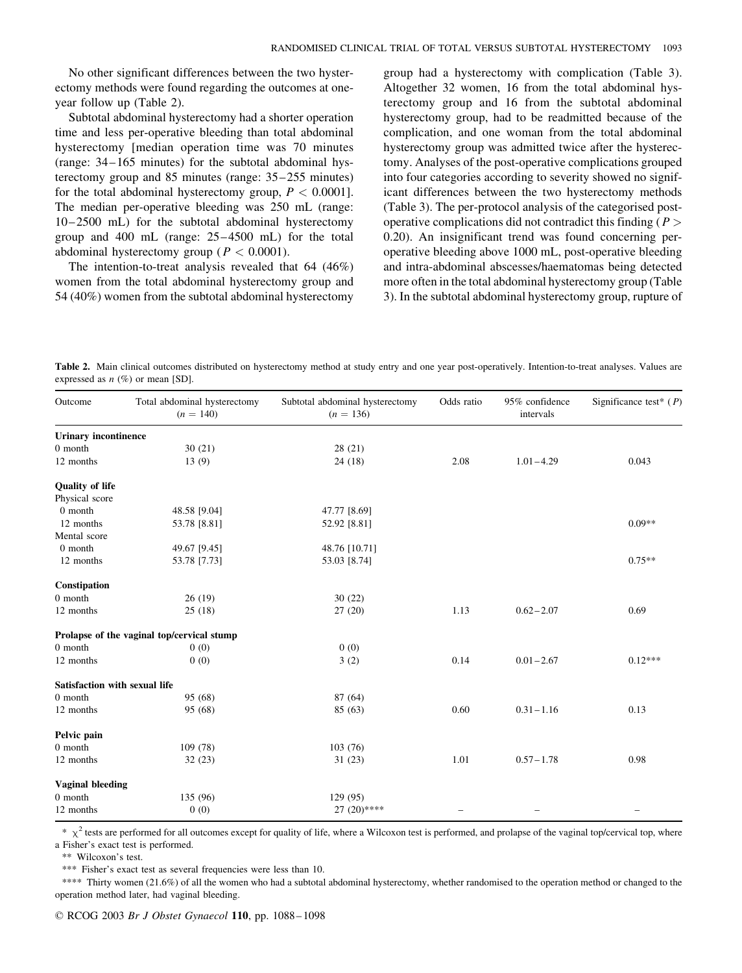No other significant differences between the two hysterectomy methods were found regarding the outcomes at oneyear follow up (Table 2).

Subtotal abdominal hysterectomy had a shorter operation time and less per-operative bleeding than total abdominal hysterectomy [median operation time was 70 minutes (range: 34–165 minutes) for the subtotal abdominal hysterectomy group and 85 minutes (range: 35–255 minutes) for the total abdominal hysterectomy group,  $P < 0.0001$ . The median per-operative bleeding was 250 mL (range: 10–2500 mL) for the subtotal abdominal hysterectomy group and 400 mL (range: 25–4500 mL) for the total abdominal hysterectomy group ( $P < 0.0001$ ).

The intention-to-treat analysis revealed that 64 (46%) women from the total abdominal hysterectomy group and 54 (40%) women from the subtotal abdominal hysterectomy group had a hysterectomy with complication (Table 3). Altogether 32 women, 16 from the total abdominal hysterectomy group and 16 from the subtotal abdominal hysterectomy group, had to be readmitted because of the complication, and one woman from the total abdominal hysterectomy group was admitted twice after the hysterectomy. Analyses of the post-operative complications grouped into four categories according to severity showed no significant differences between the two hysterectomy methods (Table 3). The per-protocol analysis of the categorised postoperative complications did not contradict this finding ( $P >$ 0.20). An insignificant trend was found concerning peroperative bleeding above 1000 mL, post-operative bleeding and intra-abdominal abscesses/haematomas being detected more often in the total abdominal hysterectomy group (Table 3). In the subtotal abdominal hysterectomy group, rupture of

Table 2. Main clinical outcomes distributed on hysterectomy method at study entry and one year post-operatively. Intention-to-treat analyses. Values are expressed as  $n$  (%) or mean [SD].

| Outcome                       | Total abdominal hysterectomy<br>$(n = 140)$ | Subtotal abdominal hysterectomy<br>$(n = 136)$ | Odds ratio | 95% confidence<br>intervals | Significance test <sup>*</sup> ( $P$ ) |
|-------------------------------|---------------------------------------------|------------------------------------------------|------------|-----------------------------|----------------------------------------|
| <b>Urinary incontinence</b>   |                                             |                                                |            |                             |                                        |
| $0$ month                     | 30(21)                                      | 28(21)                                         |            |                             |                                        |
| 12 months                     | 13(9)                                       | 24(18)                                         | 2.08       | $1.01 - 4.29$               | 0.043                                  |
| <b>Quality of life</b>        |                                             |                                                |            |                             |                                        |
| Physical score                |                                             |                                                |            |                             |                                        |
| 0 month                       | 48.58 [9.04]                                | 47.77 [8.69]                                   |            |                             |                                        |
| 12 months                     | 53.78 [8.81]                                | 52.92 [8.81]                                   |            |                             | $0.09**$                               |
| Mental score                  |                                             |                                                |            |                             |                                        |
| 0 month                       | 49.67 [9.45]                                | 48.76 [10.71]                                  |            |                             |                                        |
| 12 months                     | 53.78 [7.73]                                | 53.03 [8.74]                                   |            |                             | $0.75**$                               |
| Constipation                  |                                             |                                                |            |                             |                                        |
| 0 month                       | 26(19)                                      | 30(22)                                         |            |                             |                                        |
| 12 months                     | 25(18)                                      | 27(20)                                         | 1.13       | $0.62 - 2.07$               | 0.69                                   |
|                               | Prolapse of the vaginal top/cervical stump  |                                                |            |                             |                                        |
| $0$ month                     | 0(0)                                        | 0(0)                                           |            |                             |                                        |
| 12 months                     | 0(0)                                        | 3(2)                                           | 0.14       | $0.01 - 2.67$               | $0.12***$                              |
| Satisfaction with sexual life |                                             |                                                |            |                             |                                        |
| $0$ month                     | 95 (68)                                     | 87 (64)                                        |            |                             |                                        |
| 12 months                     | 95 (68)                                     | 85(63)                                         | 0.60       | $0.31 - 1.16$               | 0.13                                   |
| Pelvic pain                   |                                             |                                                |            |                             |                                        |
| 0 month                       | 109(78)                                     | 103(76)                                        |            |                             |                                        |
| 12 months                     | 32(23)                                      | 31(23)                                         | 1.01       | $0.57 - 1.78$               | 0.98                                   |
| <b>Vaginal bleeding</b>       |                                             |                                                |            |                             |                                        |
| $0$ month                     | 135 (96)                                    | 129 (95)                                       |            |                             |                                        |
| 12 months                     | 0(0)                                        | $27(20)$ ****                                  |            |                             |                                        |

 $\frac{k}{x}$   $\chi^2$  tests are performed for all outcomes except for quality of life, where a Wilcoxon test is performed, and prolapse of the vaginal top/cervical top, where

a Fisher's exact test is performed.

\*\* Wilcoxon's test.

\*\*\* Fisher's exact test as several frequencies were less than 10.

\*\*\*\* Thirty women (21.6%) of all the women who had a subtotal abdominal hysterectomy, whether randomised to the operation method or changed to the operation method later, had vaginal bleeding.

© RCOG 2003 *Br J Obstet Gynaecol* 110, pp. 1088–1098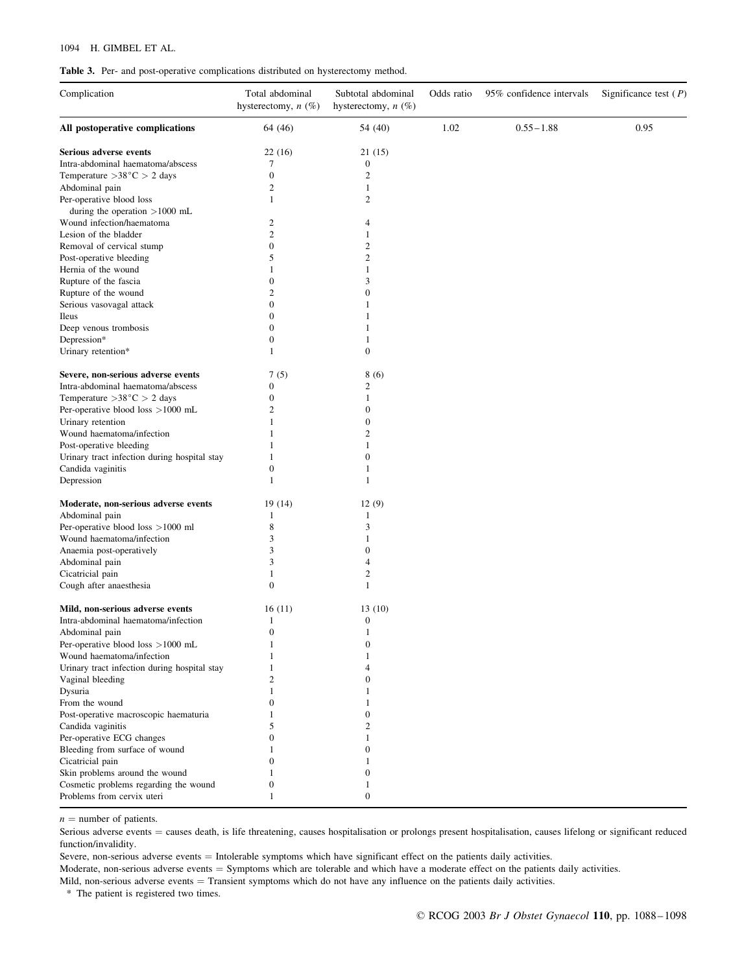#### 1094 H. GIMBEL ET AL.

|  |  |  |  |  |  |  |  | <b>Table 3.</b> Per- and post-operative complications distributed on hysterectomy method. |  |
|--|--|--|--|--|--|--|--|-------------------------------------------------------------------------------------------|--|
|--|--|--|--|--|--|--|--|-------------------------------------------------------------------------------------------|--|

| 1.02<br>$0.55 - 1.88$<br>0.95<br>64 (46)<br>54 (40)<br>Serious adverse events<br>22(16)<br>21(15)<br>Intra-abdominal haematoma/abscess<br>7<br>$\boldsymbol{0}$<br>$\mathbf{0}$<br>$\boldsymbol{2}$<br>$\overline{c}$<br>Abdominal pain<br>1<br>Per-operative blood loss<br>1<br>2<br>during the operation $>1000$ mL<br>Wound infection/haematoma<br>$\overline{c}$<br>4<br>$\overline{c}$<br>Lesion of the bladder<br>1<br>Removal of cervical stump<br>$\mathbf{0}$<br>2<br>$\mathbf{2}$<br>Post-operative bleeding<br>5<br>Hernia of the wound<br>$\mathbf{1}$<br>1<br>Rupture of the fascia<br>$\boldsymbol{0}$<br>3<br>$\overline{c}$<br>Rupture of the wound<br>$\boldsymbol{0}$<br>$\mathbf{0}$<br>Serious vasovagal attack<br>-1<br>Ileus<br>$\boldsymbol{0}$<br>1<br>Deep venous trombosis<br>$\mathbf{0}$<br>1<br>Depression*<br>$\mathbf{0}$<br>$\boldsymbol{0}$<br>Urinary retention*<br>1<br>Severe, non-serious adverse events<br>7(5)<br>8(6)<br>Intra-abdominal haematoma/abscess<br>$\mathbf{0}$<br>2<br>$\mathbf{0}$<br>1<br>$\overline{2}$<br>$\boldsymbol{0}$<br>Per-operative blood loss $>1000$ mL<br>$\boldsymbol{0}$<br>Urinary retention<br>1<br>Wound haematoma/infection<br>2<br>1<br>Post-operative bleeding<br>1<br>$\overline{0}$<br>Urinary tract infection during hospital stay<br>1<br>Candida vaginitis<br>$\overline{0}$<br>1<br>Depression<br>1<br>$\mathbf{1}$<br>Moderate, non-serious adverse events<br>19(14)<br>12(9)<br>Abdominal pain<br>1<br>1<br>Per-operative blood loss >1000 ml<br>3<br>8<br>Wound haematoma/infection<br>3<br>$\mathbf{1}$<br>3<br>Anaemia post-operatively<br>$\Omega$<br>Abdominal pain<br>3<br>$\overline{4}$<br>$\mathbf{2}$<br>Cicatricial pain<br>$\mathbf{1}$<br>$\mathbf{0}$<br>Cough after anaesthesia<br>1<br>Mild, non-serious adverse events<br>16(11)<br>13(10)<br>Intra-abdominal haematoma/infection<br>$\boldsymbol{0}$<br>1<br>$\mathbf{0}$<br>Abdominal pain<br>1<br>Per-operative blood loss >1000 mL<br>$\boldsymbol{0}$<br>Wound haematoma/infection<br>1<br>1<br>Urinary tract infection during hospital stay<br>4<br>Vaginal bleeding<br>$\overline{c}$<br>$\Omega$<br>Dysuria<br>1<br>From the wound<br>$\boldsymbol{0}$<br>Post-operative macroscopic haematuria<br>1<br>$\Omega$<br>5<br>2<br>0<br>$\mathbf{0}$<br>$\boldsymbol{0}$<br>1<br>$\mathbf{0}$<br>$\boldsymbol{0}$<br>1<br>Problems from cervix uteri<br>$\boldsymbol{0}$<br>1 | Complication                           | Total abdominal<br>hysterectomy, $n$ (%) | Subtotal abdominal<br>hysterectomy, $n$ (%) | Odds ratio | 95% confidence intervals | Significance test $(P)$ |
|--------------------------------------------------------------------------------------------------------------------------------------------------------------------------------------------------------------------------------------------------------------------------------------------------------------------------------------------------------------------------------------------------------------------------------------------------------------------------------------------------------------------------------------------------------------------------------------------------------------------------------------------------------------------------------------------------------------------------------------------------------------------------------------------------------------------------------------------------------------------------------------------------------------------------------------------------------------------------------------------------------------------------------------------------------------------------------------------------------------------------------------------------------------------------------------------------------------------------------------------------------------------------------------------------------------------------------------------------------------------------------------------------------------------------------------------------------------------------------------------------------------------------------------------------------------------------------------------------------------------------------------------------------------------------------------------------------------------------------------------------------------------------------------------------------------------------------------------------------------------------------------------------------------------------------------------------------------------------------------------------------------------------------------------------------------------------------------------------------------------------------------------------------------------------------------------------------------------------------------------------------------------------------------------------------------------------------------------------------------------------------------------------------------------------------------|----------------------------------------|------------------------------------------|---------------------------------------------|------------|--------------------------|-------------------------|
|                                                                                                                                                                                                                                                                                                                                                                                                                                                                                                                                                                                                                                                                                                                                                                                                                                                                                                                                                                                                                                                                                                                                                                                                                                                                                                                                                                                                                                                                                                                                                                                                                                                                                                                                                                                                                                                                                                                                                                                                                                                                                                                                                                                                                                                                                                                                                                                                                                      | All postoperative complications        |                                          |                                             |            |                          |                         |
|                                                                                                                                                                                                                                                                                                                                                                                                                                                                                                                                                                                                                                                                                                                                                                                                                                                                                                                                                                                                                                                                                                                                                                                                                                                                                                                                                                                                                                                                                                                                                                                                                                                                                                                                                                                                                                                                                                                                                                                                                                                                                                                                                                                                                                                                                                                                                                                                                                      |                                        |                                          |                                             |            |                          |                         |
|                                                                                                                                                                                                                                                                                                                                                                                                                                                                                                                                                                                                                                                                                                                                                                                                                                                                                                                                                                                                                                                                                                                                                                                                                                                                                                                                                                                                                                                                                                                                                                                                                                                                                                                                                                                                                                                                                                                                                                                                                                                                                                                                                                                                                                                                                                                                                                                                                                      |                                        |                                          |                                             |            |                          |                         |
|                                                                                                                                                                                                                                                                                                                                                                                                                                                                                                                                                                                                                                                                                                                                                                                                                                                                                                                                                                                                                                                                                                                                                                                                                                                                                                                                                                                                                                                                                                                                                                                                                                                                                                                                                                                                                                                                                                                                                                                                                                                                                                                                                                                                                                                                                                                                                                                                                                      | Temperature $>38^{\circ}$ C $> 2$ days |                                          |                                             |            |                          |                         |
|                                                                                                                                                                                                                                                                                                                                                                                                                                                                                                                                                                                                                                                                                                                                                                                                                                                                                                                                                                                                                                                                                                                                                                                                                                                                                                                                                                                                                                                                                                                                                                                                                                                                                                                                                                                                                                                                                                                                                                                                                                                                                                                                                                                                                                                                                                                                                                                                                                      |                                        |                                          |                                             |            |                          |                         |
|                                                                                                                                                                                                                                                                                                                                                                                                                                                                                                                                                                                                                                                                                                                                                                                                                                                                                                                                                                                                                                                                                                                                                                                                                                                                                                                                                                                                                                                                                                                                                                                                                                                                                                                                                                                                                                                                                                                                                                                                                                                                                                                                                                                                                                                                                                                                                                                                                                      |                                        |                                          |                                             |            |                          |                         |
|                                                                                                                                                                                                                                                                                                                                                                                                                                                                                                                                                                                                                                                                                                                                                                                                                                                                                                                                                                                                                                                                                                                                                                                                                                                                                                                                                                                                                                                                                                                                                                                                                                                                                                                                                                                                                                                                                                                                                                                                                                                                                                                                                                                                                                                                                                                                                                                                                                      |                                        |                                          |                                             |            |                          |                         |
|                                                                                                                                                                                                                                                                                                                                                                                                                                                                                                                                                                                                                                                                                                                                                                                                                                                                                                                                                                                                                                                                                                                                                                                                                                                                                                                                                                                                                                                                                                                                                                                                                                                                                                                                                                                                                                                                                                                                                                                                                                                                                                                                                                                                                                                                                                                                                                                                                                      |                                        |                                          |                                             |            |                          |                         |
|                                                                                                                                                                                                                                                                                                                                                                                                                                                                                                                                                                                                                                                                                                                                                                                                                                                                                                                                                                                                                                                                                                                                                                                                                                                                                                                                                                                                                                                                                                                                                                                                                                                                                                                                                                                                                                                                                                                                                                                                                                                                                                                                                                                                                                                                                                                                                                                                                                      |                                        |                                          |                                             |            |                          |                         |
|                                                                                                                                                                                                                                                                                                                                                                                                                                                                                                                                                                                                                                                                                                                                                                                                                                                                                                                                                                                                                                                                                                                                                                                                                                                                                                                                                                                                                                                                                                                                                                                                                                                                                                                                                                                                                                                                                                                                                                                                                                                                                                                                                                                                                                                                                                                                                                                                                                      |                                        |                                          |                                             |            |                          |                         |
|                                                                                                                                                                                                                                                                                                                                                                                                                                                                                                                                                                                                                                                                                                                                                                                                                                                                                                                                                                                                                                                                                                                                                                                                                                                                                                                                                                                                                                                                                                                                                                                                                                                                                                                                                                                                                                                                                                                                                                                                                                                                                                                                                                                                                                                                                                                                                                                                                                      |                                        |                                          |                                             |            |                          |                         |
|                                                                                                                                                                                                                                                                                                                                                                                                                                                                                                                                                                                                                                                                                                                                                                                                                                                                                                                                                                                                                                                                                                                                                                                                                                                                                                                                                                                                                                                                                                                                                                                                                                                                                                                                                                                                                                                                                                                                                                                                                                                                                                                                                                                                                                                                                                                                                                                                                                      |                                        |                                          |                                             |            |                          |                         |
|                                                                                                                                                                                                                                                                                                                                                                                                                                                                                                                                                                                                                                                                                                                                                                                                                                                                                                                                                                                                                                                                                                                                                                                                                                                                                                                                                                                                                                                                                                                                                                                                                                                                                                                                                                                                                                                                                                                                                                                                                                                                                                                                                                                                                                                                                                                                                                                                                                      |                                        |                                          |                                             |            |                          |                         |
|                                                                                                                                                                                                                                                                                                                                                                                                                                                                                                                                                                                                                                                                                                                                                                                                                                                                                                                                                                                                                                                                                                                                                                                                                                                                                                                                                                                                                                                                                                                                                                                                                                                                                                                                                                                                                                                                                                                                                                                                                                                                                                                                                                                                                                                                                                                                                                                                                                      |                                        |                                          |                                             |            |                          |                         |
|                                                                                                                                                                                                                                                                                                                                                                                                                                                                                                                                                                                                                                                                                                                                                                                                                                                                                                                                                                                                                                                                                                                                                                                                                                                                                                                                                                                                                                                                                                                                                                                                                                                                                                                                                                                                                                                                                                                                                                                                                                                                                                                                                                                                                                                                                                                                                                                                                                      |                                        |                                          |                                             |            |                          |                         |
|                                                                                                                                                                                                                                                                                                                                                                                                                                                                                                                                                                                                                                                                                                                                                                                                                                                                                                                                                                                                                                                                                                                                                                                                                                                                                                                                                                                                                                                                                                                                                                                                                                                                                                                                                                                                                                                                                                                                                                                                                                                                                                                                                                                                                                                                                                                                                                                                                                      |                                        |                                          |                                             |            |                          |                         |
|                                                                                                                                                                                                                                                                                                                                                                                                                                                                                                                                                                                                                                                                                                                                                                                                                                                                                                                                                                                                                                                                                                                                                                                                                                                                                                                                                                                                                                                                                                                                                                                                                                                                                                                                                                                                                                                                                                                                                                                                                                                                                                                                                                                                                                                                                                                                                                                                                                      |                                        |                                          |                                             |            |                          |                         |
|                                                                                                                                                                                                                                                                                                                                                                                                                                                                                                                                                                                                                                                                                                                                                                                                                                                                                                                                                                                                                                                                                                                                                                                                                                                                                                                                                                                                                                                                                                                                                                                                                                                                                                                                                                                                                                                                                                                                                                                                                                                                                                                                                                                                                                                                                                                                                                                                                                      |                                        |                                          |                                             |            |                          |                         |
|                                                                                                                                                                                                                                                                                                                                                                                                                                                                                                                                                                                                                                                                                                                                                                                                                                                                                                                                                                                                                                                                                                                                                                                                                                                                                                                                                                                                                                                                                                                                                                                                                                                                                                                                                                                                                                                                                                                                                                                                                                                                                                                                                                                                                                                                                                                                                                                                                                      |                                        |                                          |                                             |            |                          |                         |
|                                                                                                                                                                                                                                                                                                                                                                                                                                                                                                                                                                                                                                                                                                                                                                                                                                                                                                                                                                                                                                                                                                                                                                                                                                                                                                                                                                                                                                                                                                                                                                                                                                                                                                                                                                                                                                                                                                                                                                                                                                                                                                                                                                                                                                                                                                                                                                                                                                      |                                        |                                          |                                             |            |                          |                         |
|                                                                                                                                                                                                                                                                                                                                                                                                                                                                                                                                                                                                                                                                                                                                                                                                                                                                                                                                                                                                                                                                                                                                                                                                                                                                                                                                                                                                                                                                                                                                                                                                                                                                                                                                                                                                                                                                                                                                                                                                                                                                                                                                                                                                                                                                                                                                                                                                                                      |                                        |                                          |                                             |            |                          |                         |
|                                                                                                                                                                                                                                                                                                                                                                                                                                                                                                                                                                                                                                                                                                                                                                                                                                                                                                                                                                                                                                                                                                                                                                                                                                                                                                                                                                                                                                                                                                                                                                                                                                                                                                                                                                                                                                                                                                                                                                                                                                                                                                                                                                                                                                                                                                                                                                                                                                      |                                        |                                          |                                             |            |                          |                         |
|                                                                                                                                                                                                                                                                                                                                                                                                                                                                                                                                                                                                                                                                                                                                                                                                                                                                                                                                                                                                                                                                                                                                                                                                                                                                                                                                                                                                                                                                                                                                                                                                                                                                                                                                                                                                                                                                                                                                                                                                                                                                                                                                                                                                                                                                                                                                                                                                                                      | Temperature $>38^{\circ}$ C $> 2$ days |                                          |                                             |            |                          |                         |
|                                                                                                                                                                                                                                                                                                                                                                                                                                                                                                                                                                                                                                                                                                                                                                                                                                                                                                                                                                                                                                                                                                                                                                                                                                                                                                                                                                                                                                                                                                                                                                                                                                                                                                                                                                                                                                                                                                                                                                                                                                                                                                                                                                                                                                                                                                                                                                                                                                      |                                        |                                          |                                             |            |                          |                         |
|                                                                                                                                                                                                                                                                                                                                                                                                                                                                                                                                                                                                                                                                                                                                                                                                                                                                                                                                                                                                                                                                                                                                                                                                                                                                                                                                                                                                                                                                                                                                                                                                                                                                                                                                                                                                                                                                                                                                                                                                                                                                                                                                                                                                                                                                                                                                                                                                                                      |                                        |                                          |                                             |            |                          |                         |
|                                                                                                                                                                                                                                                                                                                                                                                                                                                                                                                                                                                                                                                                                                                                                                                                                                                                                                                                                                                                                                                                                                                                                                                                                                                                                                                                                                                                                                                                                                                                                                                                                                                                                                                                                                                                                                                                                                                                                                                                                                                                                                                                                                                                                                                                                                                                                                                                                                      |                                        |                                          |                                             |            |                          |                         |
|                                                                                                                                                                                                                                                                                                                                                                                                                                                                                                                                                                                                                                                                                                                                                                                                                                                                                                                                                                                                                                                                                                                                                                                                                                                                                                                                                                                                                                                                                                                                                                                                                                                                                                                                                                                                                                                                                                                                                                                                                                                                                                                                                                                                                                                                                                                                                                                                                                      |                                        |                                          |                                             |            |                          |                         |
|                                                                                                                                                                                                                                                                                                                                                                                                                                                                                                                                                                                                                                                                                                                                                                                                                                                                                                                                                                                                                                                                                                                                                                                                                                                                                                                                                                                                                                                                                                                                                                                                                                                                                                                                                                                                                                                                                                                                                                                                                                                                                                                                                                                                                                                                                                                                                                                                                                      |                                        |                                          |                                             |            |                          |                         |
|                                                                                                                                                                                                                                                                                                                                                                                                                                                                                                                                                                                                                                                                                                                                                                                                                                                                                                                                                                                                                                                                                                                                                                                                                                                                                                                                                                                                                                                                                                                                                                                                                                                                                                                                                                                                                                                                                                                                                                                                                                                                                                                                                                                                                                                                                                                                                                                                                                      |                                        |                                          |                                             |            |                          |                         |
|                                                                                                                                                                                                                                                                                                                                                                                                                                                                                                                                                                                                                                                                                                                                                                                                                                                                                                                                                                                                                                                                                                                                                                                                                                                                                                                                                                                                                                                                                                                                                                                                                                                                                                                                                                                                                                                                                                                                                                                                                                                                                                                                                                                                                                                                                                                                                                                                                                      |                                        |                                          |                                             |            |                          |                         |
|                                                                                                                                                                                                                                                                                                                                                                                                                                                                                                                                                                                                                                                                                                                                                                                                                                                                                                                                                                                                                                                                                                                                                                                                                                                                                                                                                                                                                                                                                                                                                                                                                                                                                                                                                                                                                                                                                                                                                                                                                                                                                                                                                                                                                                                                                                                                                                                                                                      |                                        |                                          |                                             |            |                          |                         |
|                                                                                                                                                                                                                                                                                                                                                                                                                                                                                                                                                                                                                                                                                                                                                                                                                                                                                                                                                                                                                                                                                                                                                                                                                                                                                                                                                                                                                                                                                                                                                                                                                                                                                                                                                                                                                                                                                                                                                                                                                                                                                                                                                                                                                                                                                                                                                                                                                                      |                                        |                                          |                                             |            |                          |                         |
|                                                                                                                                                                                                                                                                                                                                                                                                                                                                                                                                                                                                                                                                                                                                                                                                                                                                                                                                                                                                                                                                                                                                                                                                                                                                                                                                                                                                                                                                                                                                                                                                                                                                                                                                                                                                                                                                                                                                                                                                                                                                                                                                                                                                                                                                                                                                                                                                                                      |                                        |                                          |                                             |            |                          |                         |
|                                                                                                                                                                                                                                                                                                                                                                                                                                                                                                                                                                                                                                                                                                                                                                                                                                                                                                                                                                                                                                                                                                                                                                                                                                                                                                                                                                                                                                                                                                                                                                                                                                                                                                                                                                                                                                                                                                                                                                                                                                                                                                                                                                                                                                                                                                                                                                                                                                      |                                        |                                          |                                             |            |                          |                         |
|                                                                                                                                                                                                                                                                                                                                                                                                                                                                                                                                                                                                                                                                                                                                                                                                                                                                                                                                                                                                                                                                                                                                                                                                                                                                                                                                                                                                                                                                                                                                                                                                                                                                                                                                                                                                                                                                                                                                                                                                                                                                                                                                                                                                                                                                                                                                                                                                                                      |                                        |                                          |                                             |            |                          |                         |
|                                                                                                                                                                                                                                                                                                                                                                                                                                                                                                                                                                                                                                                                                                                                                                                                                                                                                                                                                                                                                                                                                                                                                                                                                                                                                                                                                                                                                                                                                                                                                                                                                                                                                                                                                                                                                                                                                                                                                                                                                                                                                                                                                                                                                                                                                                                                                                                                                                      |                                        |                                          |                                             |            |                          |                         |
|                                                                                                                                                                                                                                                                                                                                                                                                                                                                                                                                                                                                                                                                                                                                                                                                                                                                                                                                                                                                                                                                                                                                                                                                                                                                                                                                                                                                                                                                                                                                                                                                                                                                                                                                                                                                                                                                                                                                                                                                                                                                                                                                                                                                                                                                                                                                                                                                                                      |                                        |                                          |                                             |            |                          |                         |
|                                                                                                                                                                                                                                                                                                                                                                                                                                                                                                                                                                                                                                                                                                                                                                                                                                                                                                                                                                                                                                                                                                                                                                                                                                                                                                                                                                                                                                                                                                                                                                                                                                                                                                                                                                                                                                                                                                                                                                                                                                                                                                                                                                                                                                                                                                                                                                                                                                      |                                        |                                          |                                             |            |                          |                         |
|                                                                                                                                                                                                                                                                                                                                                                                                                                                                                                                                                                                                                                                                                                                                                                                                                                                                                                                                                                                                                                                                                                                                                                                                                                                                                                                                                                                                                                                                                                                                                                                                                                                                                                                                                                                                                                                                                                                                                                                                                                                                                                                                                                                                                                                                                                                                                                                                                                      |                                        |                                          |                                             |            |                          |                         |
|                                                                                                                                                                                                                                                                                                                                                                                                                                                                                                                                                                                                                                                                                                                                                                                                                                                                                                                                                                                                                                                                                                                                                                                                                                                                                                                                                                                                                                                                                                                                                                                                                                                                                                                                                                                                                                                                                                                                                                                                                                                                                                                                                                                                                                                                                                                                                                                                                                      |                                        |                                          |                                             |            |                          |                         |
|                                                                                                                                                                                                                                                                                                                                                                                                                                                                                                                                                                                                                                                                                                                                                                                                                                                                                                                                                                                                                                                                                                                                                                                                                                                                                                                                                                                                                                                                                                                                                                                                                                                                                                                                                                                                                                                                                                                                                                                                                                                                                                                                                                                                                                                                                                                                                                                                                                      |                                        |                                          |                                             |            |                          |                         |
|                                                                                                                                                                                                                                                                                                                                                                                                                                                                                                                                                                                                                                                                                                                                                                                                                                                                                                                                                                                                                                                                                                                                                                                                                                                                                                                                                                                                                                                                                                                                                                                                                                                                                                                                                                                                                                                                                                                                                                                                                                                                                                                                                                                                                                                                                                                                                                                                                                      |                                        |                                          |                                             |            |                          |                         |
|                                                                                                                                                                                                                                                                                                                                                                                                                                                                                                                                                                                                                                                                                                                                                                                                                                                                                                                                                                                                                                                                                                                                                                                                                                                                                                                                                                                                                                                                                                                                                                                                                                                                                                                                                                                                                                                                                                                                                                                                                                                                                                                                                                                                                                                                                                                                                                                                                                      |                                        |                                          |                                             |            |                          |                         |
|                                                                                                                                                                                                                                                                                                                                                                                                                                                                                                                                                                                                                                                                                                                                                                                                                                                                                                                                                                                                                                                                                                                                                                                                                                                                                                                                                                                                                                                                                                                                                                                                                                                                                                                                                                                                                                                                                                                                                                                                                                                                                                                                                                                                                                                                                                                                                                                                                                      |                                        |                                          |                                             |            |                          |                         |
|                                                                                                                                                                                                                                                                                                                                                                                                                                                                                                                                                                                                                                                                                                                                                                                                                                                                                                                                                                                                                                                                                                                                                                                                                                                                                                                                                                                                                                                                                                                                                                                                                                                                                                                                                                                                                                                                                                                                                                                                                                                                                                                                                                                                                                                                                                                                                                                                                                      |                                        |                                          |                                             |            |                          |                         |
|                                                                                                                                                                                                                                                                                                                                                                                                                                                                                                                                                                                                                                                                                                                                                                                                                                                                                                                                                                                                                                                                                                                                                                                                                                                                                                                                                                                                                                                                                                                                                                                                                                                                                                                                                                                                                                                                                                                                                                                                                                                                                                                                                                                                                                                                                                                                                                                                                                      |                                        |                                          |                                             |            |                          |                         |
|                                                                                                                                                                                                                                                                                                                                                                                                                                                                                                                                                                                                                                                                                                                                                                                                                                                                                                                                                                                                                                                                                                                                                                                                                                                                                                                                                                                                                                                                                                                                                                                                                                                                                                                                                                                                                                                                                                                                                                                                                                                                                                                                                                                                                                                                                                                                                                                                                                      |                                        |                                          |                                             |            |                          |                         |
|                                                                                                                                                                                                                                                                                                                                                                                                                                                                                                                                                                                                                                                                                                                                                                                                                                                                                                                                                                                                                                                                                                                                                                                                                                                                                                                                                                                                                                                                                                                                                                                                                                                                                                                                                                                                                                                                                                                                                                                                                                                                                                                                                                                                                                                                                                                                                                                                                                      |                                        |                                          |                                             |            |                          |                         |
|                                                                                                                                                                                                                                                                                                                                                                                                                                                                                                                                                                                                                                                                                                                                                                                                                                                                                                                                                                                                                                                                                                                                                                                                                                                                                                                                                                                                                                                                                                                                                                                                                                                                                                                                                                                                                                                                                                                                                                                                                                                                                                                                                                                                                                                                                                                                                                                                                                      |                                        |                                          |                                             |            |                          |                         |
|                                                                                                                                                                                                                                                                                                                                                                                                                                                                                                                                                                                                                                                                                                                                                                                                                                                                                                                                                                                                                                                                                                                                                                                                                                                                                                                                                                                                                                                                                                                                                                                                                                                                                                                                                                                                                                                                                                                                                                                                                                                                                                                                                                                                                                                                                                                                                                                                                                      | Candida vaginitis                      |                                          |                                             |            |                          |                         |
|                                                                                                                                                                                                                                                                                                                                                                                                                                                                                                                                                                                                                                                                                                                                                                                                                                                                                                                                                                                                                                                                                                                                                                                                                                                                                                                                                                                                                                                                                                                                                                                                                                                                                                                                                                                                                                                                                                                                                                                                                                                                                                                                                                                                                                                                                                                                                                                                                                      | Per-operative ECG changes              |                                          |                                             |            |                          |                         |
|                                                                                                                                                                                                                                                                                                                                                                                                                                                                                                                                                                                                                                                                                                                                                                                                                                                                                                                                                                                                                                                                                                                                                                                                                                                                                                                                                                                                                                                                                                                                                                                                                                                                                                                                                                                                                                                                                                                                                                                                                                                                                                                                                                                                                                                                                                                                                                                                                                      | Bleeding from surface of wound         |                                          |                                             |            |                          |                         |
|                                                                                                                                                                                                                                                                                                                                                                                                                                                                                                                                                                                                                                                                                                                                                                                                                                                                                                                                                                                                                                                                                                                                                                                                                                                                                                                                                                                                                                                                                                                                                                                                                                                                                                                                                                                                                                                                                                                                                                                                                                                                                                                                                                                                                                                                                                                                                                                                                                      | Cicatricial pain                       |                                          |                                             |            |                          |                         |
|                                                                                                                                                                                                                                                                                                                                                                                                                                                                                                                                                                                                                                                                                                                                                                                                                                                                                                                                                                                                                                                                                                                                                                                                                                                                                                                                                                                                                                                                                                                                                                                                                                                                                                                                                                                                                                                                                                                                                                                                                                                                                                                                                                                                                                                                                                                                                                                                                                      | Skin problems around the wound         |                                          |                                             |            |                          |                         |
|                                                                                                                                                                                                                                                                                                                                                                                                                                                                                                                                                                                                                                                                                                                                                                                                                                                                                                                                                                                                                                                                                                                                                                                                                                                                                                                                                                                                                                                                                                                                                                                                                                                                                                                                                                                                                                                                                                                                                                                                                                                                                                                                                                                                                                                                                                                                                                                                                                      | Cosmetic problems regarding the wound  |                                          |                                             |            |                          |                         |
|                                                                                                                                                                                                                                                                                                                                                                                                                                                                                                                                                                                                                                                                                                                                                                                                                                                                                                                                                                                                                                                                                                                                                                                                                                                                                                                                                                                                                                                                                                                                                                                                                                                                                                                                                                                                                                                                                                                                                                                                                                                                                                                                                                                                                                                                                                                                                                                                                                      |                                        |                                          |                                             |            |                          |                         |

 $n =$  number of patients.

Serious adverse events = causes death, is life threatening, causes hospitalisation or prolongs present hospitalisation, causes lifelong or significant reduced function/invalidity.

Severe, non-serious adverse events  $=$  Intolerable symptoms which have significant effect on the patients daily activities.

Moderate, non-serious adverse events = Symptoms which are tolerable and which have a moderate effect on the patients daily activities.

Mild, non-serious adverse events  $=$  Transient symptoms which do not have any influence on the patients daily activities.

\* The patient is registered two times.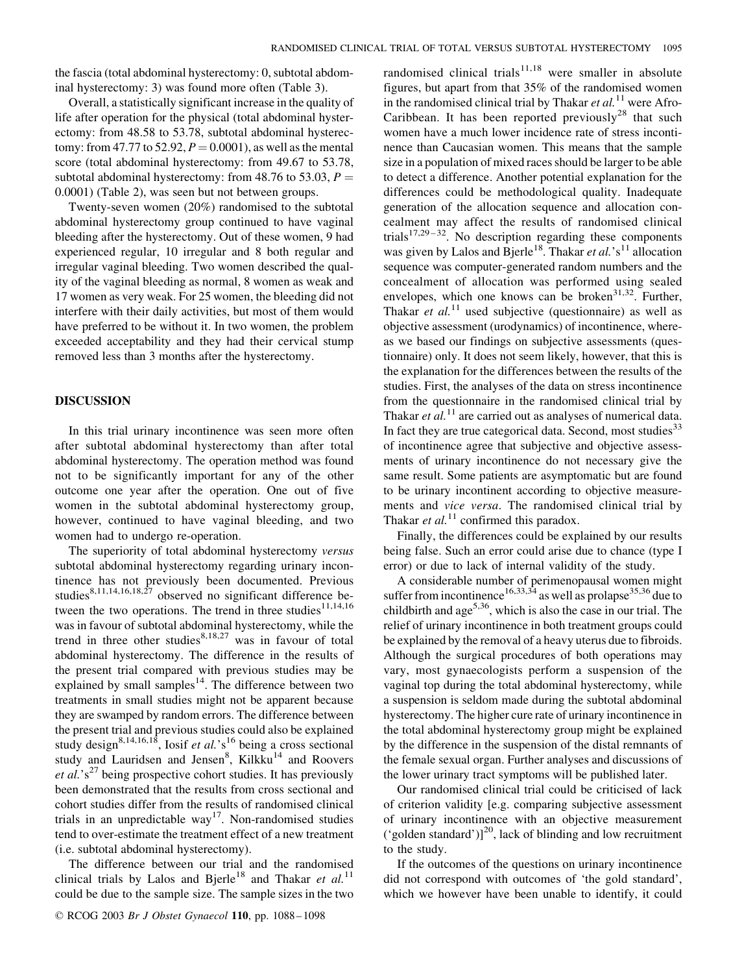the fascia (total abdominal hysterectomy: 0, subtotal abdominal hysterectomy: 3) was found more often (Table 3).

Overall, a statistically significant increase in the quality of life after operation for the physical (total abdominal hysterectomy: from 48.58 to 53.78, subtotal abdominal hysterectomy: from 47.77 to 52.92,  $P = 0.0001$ ), as well as the mental score (total abdominal hysterectomy: from 49.67 to 53.78, subtotal abdominal hysterectomy: from 48.76 to 53.03,  $P =$ 0.0001) (Table 2), was seen but not between groups.

Twenty-seven women (20%) randomised to the subtotal abdominal hysterectomy group continued to have vaginal bleeding after the hysterectomy. Out of these women, 9 had experienced regular, 10 irregular and 8 both regular and irregular vaginal bleeding. Two women described the quality of the vaginal bleeding as normal, 8 women as weak and 17 women as very weak. For 25 women, the bleeding did not interfere with their daily activities, but most of them would have preferred to be without it. In two women, the problem exceeded acceptability and they had their cervical stump removed less than 3 months after the hysterectomy.

#### DISCUSSION

In this trial urinary incontinence was seen more often after subtotal abdominal hysterectomy than after total abdominal hysterectomy. The operation method was found not to be significantly important for any of the other outcome one year after the operation. One out of five women in the subtotal abdominal hysterectomy group, however, continued to have vaginal bleeding, and two women had to undergo re-operation.

The superiority of total abdominal hysterectomy versus subtotal abdominal hysterectomy regarding urinary incontinence has not previously been documented. Previous studies<sup>8,11,14,16,18,27</sup> observed no significant difference between the two operations. The trend in three studies<sup>11,14,16</sup> was in favour of subtotal abdominal hysterectomy, while the trend in three other studies $8,18,27$  was in favour of total abdominal hysterectomy. The difference in the results of the present trial compared with previous studies may be explained by small samples $14$ . The difference between two treatments in small studies might not be apparent because they are swamped by random errors. The difference between the present trial and previous studies could also be explained study design<sup>8,14,16,18</sup>, Iosif et al.'s<sup>16</sup> being a cross sectional study and Lauridsen and Jensen<sup>8</sup>, Kilkku<sup>14</sup> and Roovers *et al.*' $s^{27}$  being prospective cohort studies. It has previously been demonstrated that the results from cross sectional and cohort studies differ from the results of randomised clinical trials in an unpredictable way<sup>17</sup>. Non-randomised studies tend to over-estimate the treatment effect of a new treatment (i.e. subtotal abdominal hysterectomy).

The difference between our trial and the randomised clinical trials by Lalos and Bjerle<sup>18</sup> and Thakar et al.<sup>11</sup> could be due to the sample size. The sample sizes in the two

randomised clinical trials<sup>11,18</sup> were smaller in absolute figures, but apart from that 35% of the randomised women in the randomised clinical trial by Thakar et  $al$ <sup>11</sup> were Afro-Caribbean. It has been reported previously<sup>28</sup> that such women have a much lower incidence rate of stress incontinence than Caucasian women. This means that the sample size in a population of mixed races should be larger to be able to detect a difference. Another potential explanation for the differences could be methodological quality. Inadequate generation of the allocation sequence and allocation concealment may affect the results of randomised clinical trials<sup>17,29-32</sup>. No description regarding these components was given by Lalos and Bjerle<sup>18</sup>. Thakar et al.'s<sup>11</sup> allocation sequence was computer-generated random numbers and the concealment of allocation was performed using sealed envelopes, which one knows can be broken $31,32$ . Further, Thakar et  $al$ <sup>11</sup> used subjective (questionnaire) as well as objective assessment (urodynamics) of incontinence, whereas we based our findings on subjective assessments (questionnaire) only. It does not seem likely, however, that this is the explanation for the differences between the results of the studies. First, the analyses of the data on stress incontinence from the questionnaire in the randomised clinical trial by Thakar et  $al$ <sup>11</sup> are carried out as analyses of numerical data. In fact they are true categorical data. Second, most studies $33$ of incontinence agree that subjective and objective assessments of urinary incontinence do not necessary give the same result. Some patients are asymptomatic but are found to be urinary incontinent according to objective measurements and vice versa. The randomised clinical trial by Thakar et  $al$ <sup>11</sup> confirmed this paradox.

Finally, the differences could be explained by our results being false. Such an error could arise due to chance (type I error) or due to lack of internal validity of the study.

A considerable number of perimenopausal women might suffer from incontinence<sup>16,33,34</sup> as well as prolapse<sup>35,36</sup> due to childbirth and  $age^{5,36}$ , which is also the case in our trial. The relief of urinary incontinence in both treatment groups could be explained by the removal of a heavy uterus due to fibroids. Although the surgical procedures of both operations may vary, most gynaecologists perform a suspension of the vaginal top during the total abdominal hysterectomy, while a suspension is seldom made during the subtotal abdominal hysterectomy. The higher cure rate of urinary incontinence in the total abdominal hysterectomy group might be explained by the difference in the suspension of the distal remnants of the female sexual organ. Further analyses and discussions of the lower urinary tract symptoms will be published later.

Our randomised clinical trial could be criticised of lack of criterion validity [e.g. comparing subjective assessment of urinary incontinence with an objective measurement ('golden standard')]<sup>20</sup>, lack of blinding and low recruitment to the study.

If the outcomes of the questions on urinary incontinence did not correspond with outcomes of 'the gold standard', which we however have been unable to identify, it could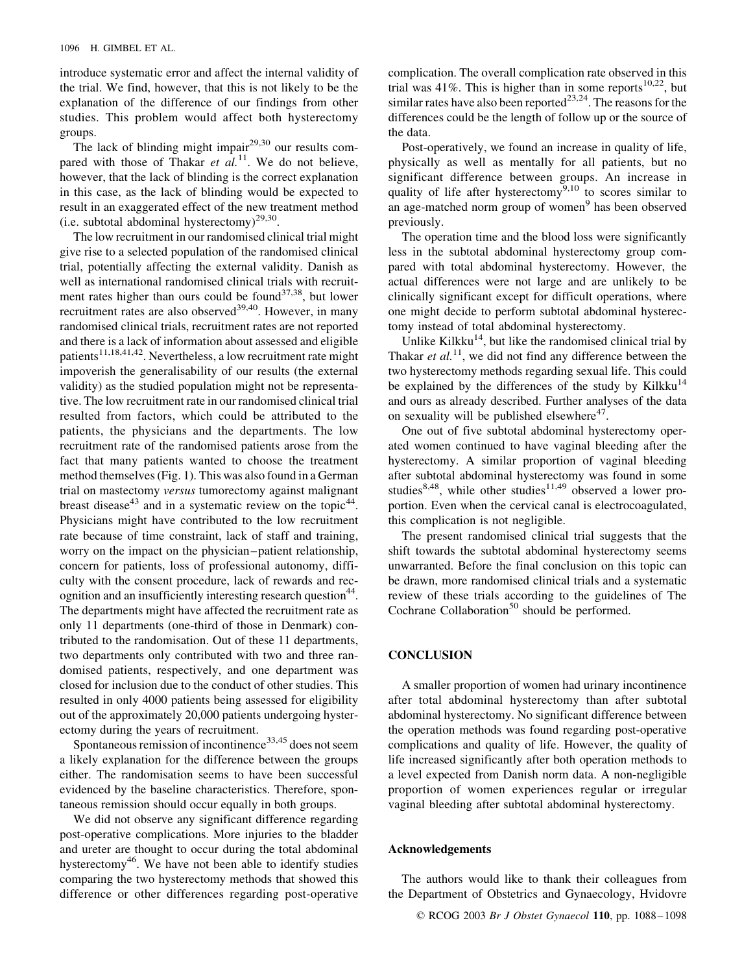introduce systematic error and affect the internal validity of the trial. We find, however, that this is not likely to be the explanation of the difference of our findings from other studies. This problem would affect both hysterectomy groups.

The lack of blinding might impair $29,30$  our results compared with those of Thakar et  $al$ <sup>11</sup>. We do not believe, however, that the lack of blinding is the correct explanation in this case, as the lack of blinding would be expected to result in an exaggerated effect of the new treatment method (i.e. subtotal abdominal hysterectomy)<sup>29,30</sup>.

The low recruitment in our randomised clinical trial might give rise to a selected population of the randomised clinical trial, potentially affecting the external validity. Danish as well as international randomised clinical trials with recruitment rates higher than ours could be found $37,38$ , but lower recruitment rates are also observed $39,40$ . However, in many randomised clinical trials, recruitment rates are not reported and there is a lack of information about assessed and eligible patients<sup>11,18,41,42</sup>. Nevertheless, a low recruitment rate might impoverish the generalisability of our results (the external validity) as the studied population might not be representative. The low recruitment rate in our randomised clinical trial resulted from factors, which could be attributed to the patients, the physicians and the departments. The low recruitment rate of the randomised patients arose from the fact that many patients wanted to choose the treatment method themselves (Fig. 1). This was also found in a German trial on mastectomy versus tumorectomy against malignant breast disease<sup>43</sup> and in a systematic review on the topic<sup>44</sup>. Physicians might have contributed to the low recruitment rate because of time constraint, lack of staff and training, worry on the impact on the physician–patient relationship, concern for patients, loss of professional autonomy, difficulty with the consent procedure, lack of rewards and recognition and an insufficiently interesting research question<sup>44</sup>. The departments might have affected the recruitment rate as only 11 departments (one-third of those in Denmark) contributed to the randomisation. Out of these 11 departments, two departments only contributed with two and three randomised patients, respectively, and one department was closed for inclusion due to the conduct of other studies. This resulted in only 4000 patients being assessed for eligibility out of the approximately 20,000 patients undergoing hysterectomy during the years of recruitment.

Spontaneous remission of incontinence<sup>33,45</sup> does not seem a likely explanation for the difference between the groups either. The randomisation seems to have been successful evidenced by the baseline characteristics. Therefore, spontaneous remission should occur equally in both groups.

We did not observe any significant difference regarding post-operative complications. More injuries to the bladder and ureter are thought to occur during the total abdominal hysterectomy<sup>46</sup>. We have not been able to identify studies comparing the two hysterectomy methods that showed this difference or other differences regarding post-operative complication. The overall complication rate observed in this trial was 41%. This is higher than in some reports<sup>10,22</sup>, but similar rates have also been reported<sup>23,24</sup>. The reasons for the differences could be the length of follow up or the source of the data.

Post-operatively, we found an increase in quality of life, physically as well as mentally for all patients, but no significant difference between groups. An increase in quality of life after hysterectomy<sup>9,10</sup> to scores similar to an age-matched norm group of women<sup>9</sup> has been observed previously.

The operation time and the blood loss were significantly less in the subtotal abdominal hysterectomy group compared with total abdominal hysterectomy. However, the actual differences were not large and are unlikely to be clinically significant except for difficult operations, where one might decide to perform subtotal abdominal hysterectomy instead of total abdominal hysterectomy.

Unlike Kilkku $14$ , but like the randomised clinical trial by Thakar et  $al$ <sup>11</sup>, we did not find any difference between the two hysterectomy methods regarding sexual life. This could be explained by the differences of the study by Kilkku<sup>14</sup> and ours as already described. Further analyses of the data on sexuality will be published elsewhere $47$ .

One out of five subtotal abdominal hysterectomy operated women continued to have vaginal bleeding after the hysterectomy. A similar proportion of vaginal bleeding after subtotal abdominal hysterectomy was found in some studies<sup>8,48</sup>, while other studies<sup>11,49</sup> observed a lower proportion. Even when the cervical canal is electrocoagulated, this complication is not negligible.

The present randomised clinical trial suggests that the shift towards the subtotal abdominal hysterectomy seems unwarranted. Before the final conclusion on this topic can be drawn, more randomised clinical trials and a systematic review of these trials according to the guidelines of The Cochrane Collaboration<sup>50</sup> should be performed.

### **CONCLUSION**

A smaller proportion of women had urinary incontinence after total abdominal hysterectomy than after subtotal abdominal hysterectomy. No significant difference between the operation methods was found regarding post-operative complications and quality of life. However, the quality of life increased significantly after both operation methods to a level expected from Danish norm data. A non-negligible proportion of women experiences regular or irregular vaginal bleeding after subtotal abdominal hysterectomy.

#### Acknowledgements

The authors would like to thank their colleagues from the Department of Obstetrics and Gynaecology, Hvidovre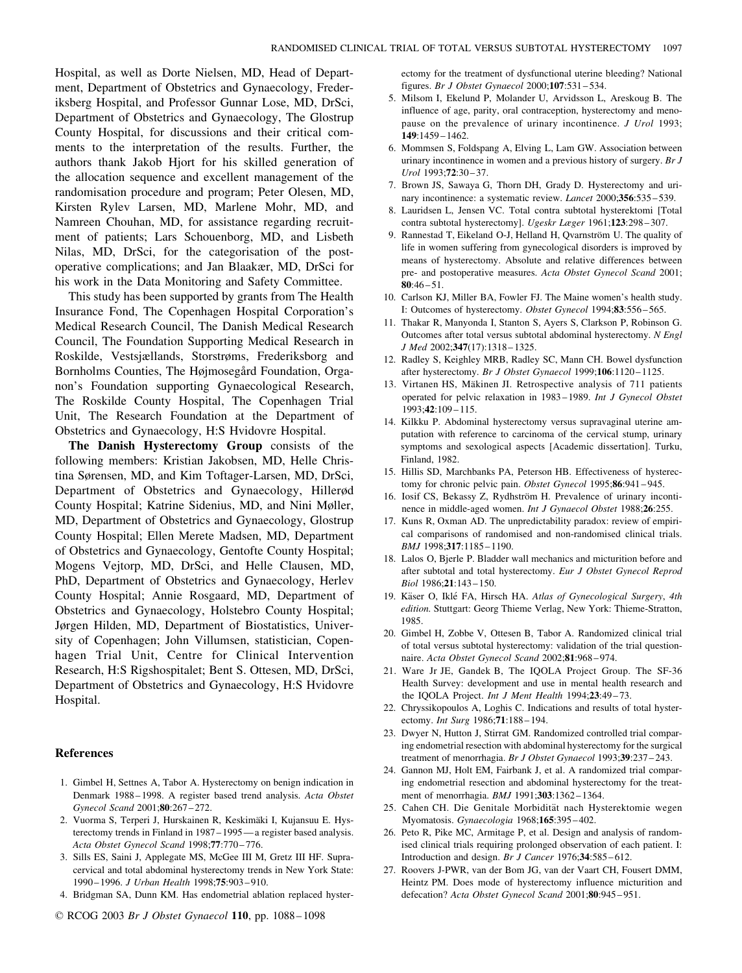Hospital, as well as Dorte Nielsen, MD, Head of Department, Department of Obstetrics and Gynaecology, Frederiksberg Hospital, and Professor Gunnar Lose, MD, DrSci, Department of Obstetrics and Gynaecology, The Glostrup County Hospital, for discussions and their critical comments to the interpretation of the results. Further, the authors thank Jakob Hjort for his skilled generation of the allocation sequence and excellent management of the randomisation procedure and program; Peter Olesen, MD, Kirsten Rylev Larsen, MD, Marlene Mohr, MD, and Namreen Chouhan, MD, for assistance regarding recruitment of patients; Lars Schouenborg, MD, and Lisbeth Nilas, MD, DrSci, for the categorisation of the postoperative complications; and Jan Blaakær, MD, DrSci for his work in the Data Monitoring and Safety Committee.

This study has been supported by grants from The Health Insurance Fond, The Copenhagen Hospital Corporation's Medical Research Council, The Danish Medical Research Council, The Foundation Supporting Medical Research in Roskilde, Vestsjællands, Storstrøms, Frederiksborg and Bornholms Counties, The Højmosegård Foundation, Organon's Foundation supporting Gynaecological Research, The Roskilde County Hospital, The Copenhagen Trial Unit, The Research Foundation at the Department of Obstetrics and Gynaecology, H:S Hvidovre Hospital.

The Danish Hysterectomy Group consists of the following members: Kristian Jakobsen, MD, Helle Christina Sørensen, MD, and Kim Toftager-Larsen, MD, DrSci, Department of Obstetrics and Gynaecology, Hillerød County Hospital; Katrine Sidenius, MD, and Nini Møller, MD, Department of Obstetrics and Gynaecology, Glostrup County Hospital; Ellen Merete Madsen, MD, Department of Obstetrics and Gynaecology, Gentofte County Hospital; Mogens Vejtorp, MD, DrSci, and Helle Clausen, MD, PhD, Department of Obstetrics and Gynaecology, Herlev County Hospital; Annie Rosgaard, MD, Department of Obstetrics and Gynaecology, Holstebro County Hospital; Jørgen Hilden, MD, Department of Biostatistics, University of Copenhagen; John Villumsen, statistician, Copenhagen Trial Unit, Centre for Clinical Intervention Research, H:S Rigshospitalet; Bent S. Ottesen, MD, DrSci, Department of Obstetrics and Gynaecology, H:S Hvidovre Hospital.

#### References

- 1. Gimbel H, Settnes A, Tabor A. Hysterectomy on benign indication in Denmark 1988– 1998. A register based trend analysis. Acta Obstet Gynecol Scand 2001;80:267–272.
- 2. Vuorma S, Terperi J, Hurskainen R, Keskimäki I, Kujansuu E. Hysterectomy trends in Finland in 1987–1995—a register based analysis. Acta Obstet Gynecol Scand 1998;77:770– 776.
- 3. Sills ES, Saini J, Applegate MS, McGee III M, Gretz III HF. Supracervical and total abdominal hysterectomy trends in New York State: 1990-1996. J Urban Health 1998;75:903-910.
- 4. Bridgman SA, Dunn KM. Has endometrial ablation replaced hyster-

ectomy for the treatment of dysfunctional uterine bleeding? National figures. Br J Obstet Gynaecol 2000;107:531– 534.

- 5. Milsom I, Ekelund P, Molander U, Arvidsson L, Areskoug B. The influence of age, parity, oral contraception, hysterectomy and menopause on the prevalence of urinary incontinence. J Urol 1993; 149:1459–1462.
- 6. Mommsen S, Foldspang A, Elving L, Lam GW. Association between urinary incontinence in women and a previous history of surgery. Br J Urol 1993;72:30 –37.
- 7. Brown JS, Sawaya G, Thorn DH, Grady D. Hysterectomy and urinary incontinence: a systematic review. *Lancet* 2000;356:535-539.
- 8. Lauridsen L, Jensen VC. Total contra subtotal hysterektomi [Total contra subtotal hysterectomy]. Ugeskr Læger 1961;123:298-307.
- 9. Rannestad T, Eikeland O-J, Helland H, Qvarnström U. The quality of life in women suffering from gynecological disorders is improved by means of hysterectomy. Absolute and relative differences between pre- and postoperative measures. Acta Obstet Gynecol Scand 2001;  $80:46 - 51$ .
- 10. Carlson KJ, Miller BA, Fowler FJ. The Maine women's health study. I: Outcomes of hysterectomy. Obstet Gynecol 1994;83:556– 565.
- 11. Thakar R, Manyonda I, Stanton S, Ayers S, Clarkson P, Robinson G. Outcomes after total versus subtotal abdominal hysterectomy. N Engl J Med 2002;347(17):1318– 1325.
- 12. Radley S, Keighley MRB, Radley SC, Mann CH. Bowel dysfunction after hysterectomy. Br J Obstet Gynaecol 1999;106:1120– 1125.
- 13. Virtanen HS, Mäkinen JI. Retrospective analysis of 711 patients operated for pelvic relaxation in 1983–1989. Int J Gynecol Obstet 1993;42:109 –115.
- 14. Kilkku P. Abdominal hysterectomy versus supravaginal uterine amputation with reference to carcinoma of the cervical stump, urinary symptoms and sexological aspects [Academic dissertation]. Turku, Finland, 1982.
- 15. Hillis SD, Marchbanks PA, Peterson HB. Effectiveness of hysterectomy for chronic pelvic pain. Obstet Gynecol 1995;86:941-945.
- 16. Iosif CS, Bekassy Z, Rydhström H. Prevalence of urinary incontinence in middle-aged women. Int J Gynaecol Obstet 1988;26:255.
- 17. Kuns R, Oxman AD. The unpredictability paradox: review of empirical comparisons of randomised and non-randomised clinical trials. BMJ 1998;317:1185– 1190.
- 18. Lalos O, Bjerle P. Bladder wall mechanics and micturition before and after subtotal and total hysterectomy. Eur J Obstet Gynecol Reprod Biol 1986;21:143– 150.
- 19. Käser O, Iklé FA, Hirsch HA. Atlas of Gynecological Surgery, 4th edition. Stuttgart: Georg Thieme Verlag, New York: Thieme-Stratton, 1985.
- 20. Gimbel H, Zobbe V, Ottesen B, Tabor A. Randomized clinical trial of total versus subtotal hysterectomy: validation of the trial questionnaire. Acta Obstet Gynecol Scand 2002;81:968-974.
- 21. Ware Jr JE, Gandek B, The IQOLA Project Group. The SF-36 Health Survey: development and use in mental health research and the IQOLA Project. Int J Ment Health 1994;23:49-73.
- 22. Chryssikopoulos A, Loghis C. Indications and results of total hysterectomy. Int Surg 1986;71:188– 194.
- 23. Dwyer N, Hutton J, Stirrat GM. Randomized controlled trial comparing endometrial resection with abdominal hysterectomy for the surgical treatment of menorrhagia. Br J Obstet Gynaecol 1993;39:237-243.
- 24. Gannon MJ, Holt EM, Fairbank J, et al. A randomized trial comparing endometrial resection and abdominal hysterectomy for the treatment of menorrhagia. *BMJ* 1991;303:1362-1364.
- 25. Cahen CH. Die Genitale Morbidität nach Hysterektomie wegen Myomatosis. Gynaecologia 1968;165:395 –402.
- 26. Peto R, Pike MC, Armitage P, et al. Design and analysis of randomised clinical trials requiring prolonged observation of each patient. I: Introduction and design. Br J Cancer 1976;34:585-612.
- 27. Roovers J-PWR, van der Bom JG, van der Vaart CH, Fousert DMM, Heintz PM. Does mode of hysterectomy influence micturition and defecation? Acta Obstet Gynecol Scand 2001;80:945-951.